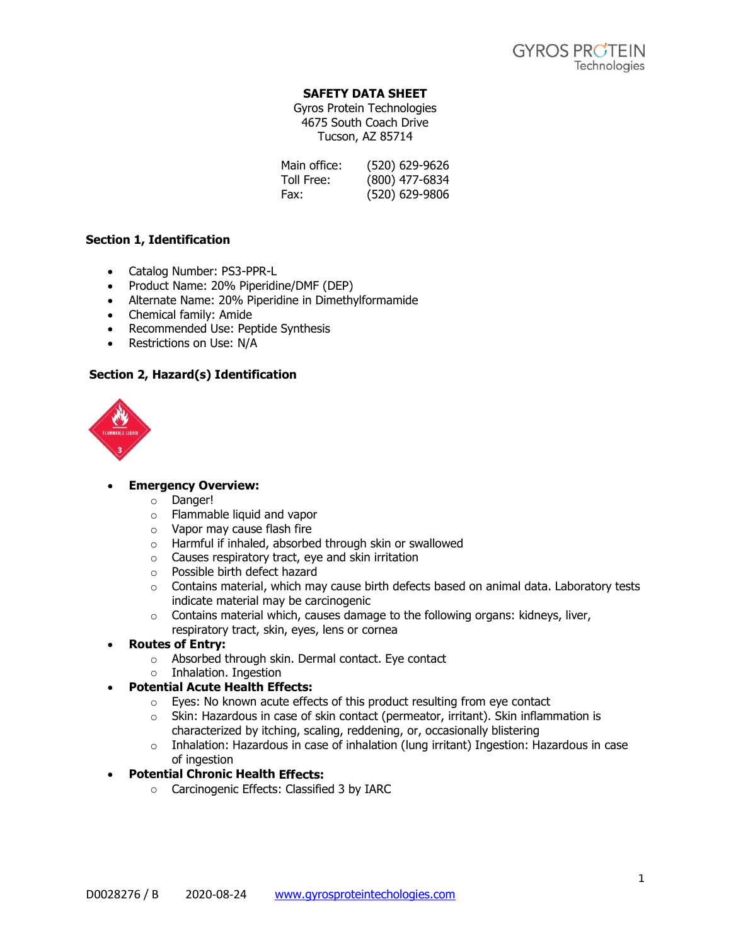# **SAFETY DATA SHEET**

Gyros Protein Technologies 4675 South Coach Drive Tucson, AZ 85714

| Main office: | (520) 629-9626 |
|--------------|----------------|
| Toll Free:   | (800) 477-6834 |
| Fax:         | (520) 629-9806 |

# **Section 1, Identification**

- Catalog Number: PS3-PPR-L
- Product Name: 20% Piperidine/DMF (DEP)
- Alternate Name: 20% Piperidine in Dimethylformamide
- Chemical family: Amide
- Recommended Use: Peptide Synthesis
- Restrictions on Use: N/A

# **Section 2, Hazard(s) Identification**



# • **Emergency Overview:**

- o Danger!
- o Flammable liquid and vapor
- o Vapor may cause flash fire
- o Harmful if inhaled, absorbed through skin or swallowed
- o Causes respiratory tract, eye and skin irritation
- o Possible birth defect hazard
- $\circ$  Contains material, which may cause birth defects based on animal data. Laboratory tests indicate material may be carcinogenic
- o Contains material which, causes damage to the following organs: kidneys, liver, respiratory tract, skin, eyes, lens or cornea

# • **Routes of Entry:**

- o Absorbed through skin. Dermal contact. Eye contact
- o Inhalation. Ingestion

# • **Potential Acute Health Effects:**

- o Eyes: No known acute effects of this product resulting from eye contact
- $\circ$  Skin: Hazardous in case of skin contact (permeator, irritant). Skin inflammation is characterized by itching, scaling, reddening, or, occasionally blistering
- $\circ$  Inhalation: Hazardous in case of inhalation (lung irritant) Ingestion: Hazardous in case of ingestion

# • **Potential Chronic Health Effects:**

o Carcinogenic Effects: Classified 3 by IARC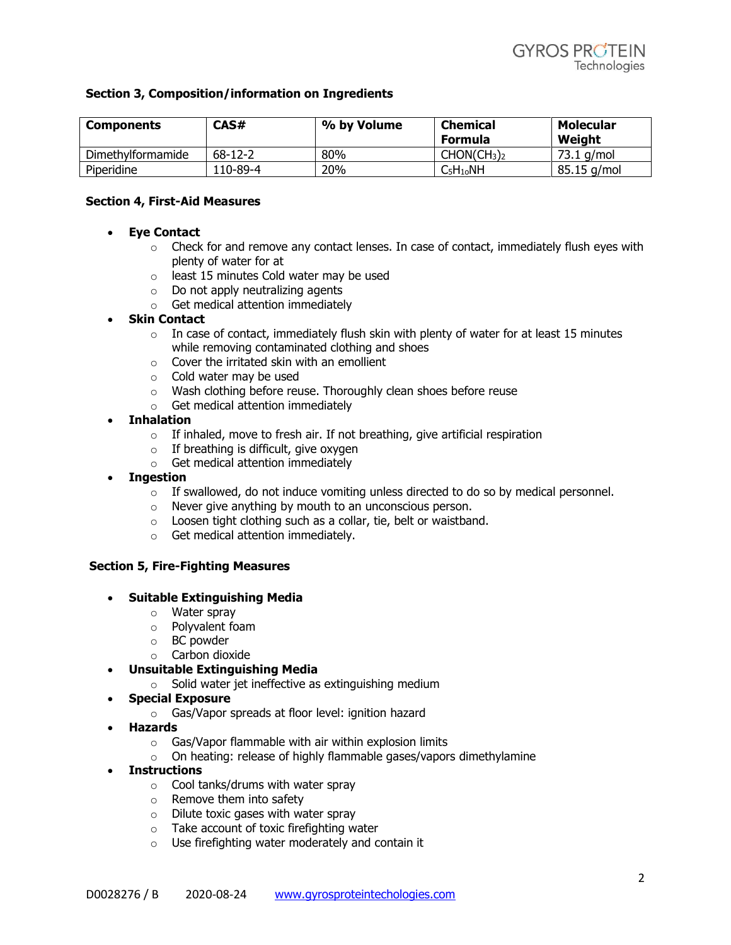#### **Section 3, Composition/information on Ingredients**

| Components        | CAS#          | % by Volume | <b>Chemical</b><br>Formula          | Molecular<br>Weight |
|-------------------|---------------|-------------|-------------------------------------|---------------------|
| Dimethylformamide | $68 - 12 - 2$ | 80%         | CHON(CH <sub>3</sub> ) <sub>2</sub> | 73.1 g/mol          |
| Piperidine        | 110-89-4      | 20%         | $C_5H_{10}NH$                       | 85.15 g/mol         |

#### **Section 4, First-Aid Measures**

- **Eye Contact**
	- $\circ$  Check for and remove any contact lenses. In case of contact, immediately flush eyes with plenty of water for at
	- o least 15 minutes Cold water may be used
	- $\circ$  Do not apply neutralizing agents
	- o Get medical attention immediately

#### • **Skin Contact**

- $\circ$  In case of contact, immediately flush skin with plenty of water for at least 15 minutes while removing contaminated clothing and shoes
- $\circ$  Cover the irritated skin with an emollient
- o Cold water may be used
- o Wash clothing before reuse. Thoroughly clean shoes before reuse
- o Get medical attention immediately
- **Inhalation**
	- $\circ$  If inhaled, move to fresh air. If not breathing, give artificial respiration
	- $\circ$  If breathing is difficult, give oxygen
	- o Get medical attention immediately
- **Ingestion**
	- $\circ$  If swallowed, do not induce vomiting unless directed to do so by medical personnel.
	- o Never give anything by mouth to an unconscious person.
	- $\circ$  Loosen tight clothing such as a collar, tie, belt or waistband.
	- o Get medical attention immediately.

#### **Section 5, Fire-Fighting Measures**

#### • **Suitable Extinguishing Media**

- o Water spray
- o Polyvalent foam
- o BC powder
- o Carbon dioxide
- **Unsuitable Extinguishing Media**
	- $\circ$  Solid water jet ineffective as extinguishing medium
- **Special Exposure**
	- o Gas/Vapor spreads at floor level: ignition hazard
- **Hazards**
	- o Gas/Vapor flammable with air within explosion limits
	- $\circ$  On heating: release of highly flammable gases/vapors dimethylamine
- **Instructions**
	- $\circ$  Cool tanks/drums with water spray
	- o Remove them into safety
	- o Dilute toxic gases with water spray
	- o Take account of toxic firefighting water
	- o Use firefighting water moderately and contain it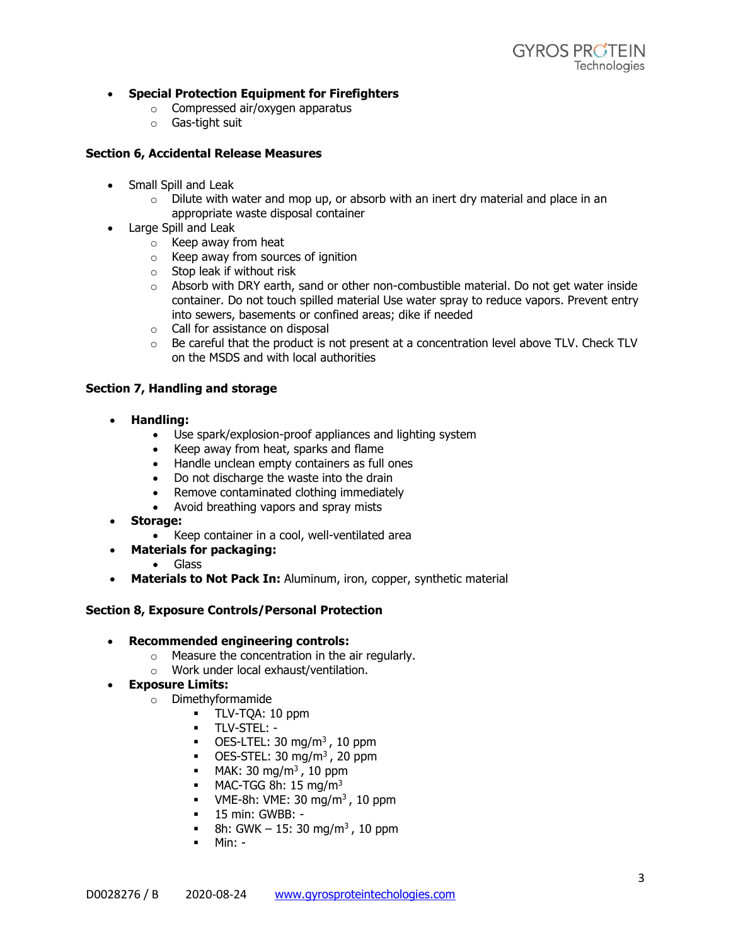# • **Special Protection Equipment for Firefighters**

- o Compressed air/oxygen apparatus
- o Gas-tight suit

# **Section 6, Accidental Release Measures**

- Small Spill and Leak
	- $\circ$  Dilute with water and mop up, or absorb with an inert dry material and place in an appropriate waste disposal container
- Large Spill and Leak
	- o Keep away from heat<br>
	o Keep away from sourc
	- Keep away from sources of ignition
	- o Stop leak if without risk
	- $\circ$  Absorb with DRY earth, sand or other non-combustible material. Do not get water inside container. Do not touch spilled material Use water spray to reduce vapors. Prevent entry into sewers, basements or confined areas; dike if needed
	- o Call for assistance on disposal
	- $\circ$  Be careful that the product is not present at a concentration level above TLV. Check TLV on the MSDS and with local authorities

# **Section 7, Handling and storage**

- **Handling:**
	- Use spark/explosion-proof appliances and lighting system
	- Keep away from heat, sparks and flame
	- Handle unclean empty containers as full ones
	- Do not discharge the waste into the drain
	- Remove contaminated clothing immediately
	- Avoid breathing vapors and spray mists
- **Storage:**
	- Keep container in a cool, well-ventilated area
- **Materials for packaging:**
	- Glass
- **Materials to Not Pack In:** Aluminum, iron, copper, synthetic material

# **Section 8, Exposure Controls/Personal Protection**

- **Recommended engineering controls:**
	- o Measure the concentration in the air regularly.
	- o Work under local exhaust/ventilation.

# • **Exposure Limits:**

- o Dimethyformamide
	- TLV-TQA: 10 ppm
	- TLV-STEL: -
	- $\blacksquare$  OES-LTEL: 30 mg/m<sup>3</sup>, 10 ppm
	- $\blacksquare$  OES-STEL: 30 mg/m<sup>3</sup>, 20 ppm
	- $\blacksquare$  MAK: 30 mg/m<sup>3</sup>, 10 ppm
	- $\blacksquare$  MAC-TGG 8h: 15 mg/m<sup>3</sup>
	- **•** VME-8h: VME: 30 mg/m<sup>3</sup>, 10 ppm
	- 15 min: GWBB: -
	- **•** 8h: GWK 15: 30 mg/m<sup>3</sup>, 10 ppm
	- Min: -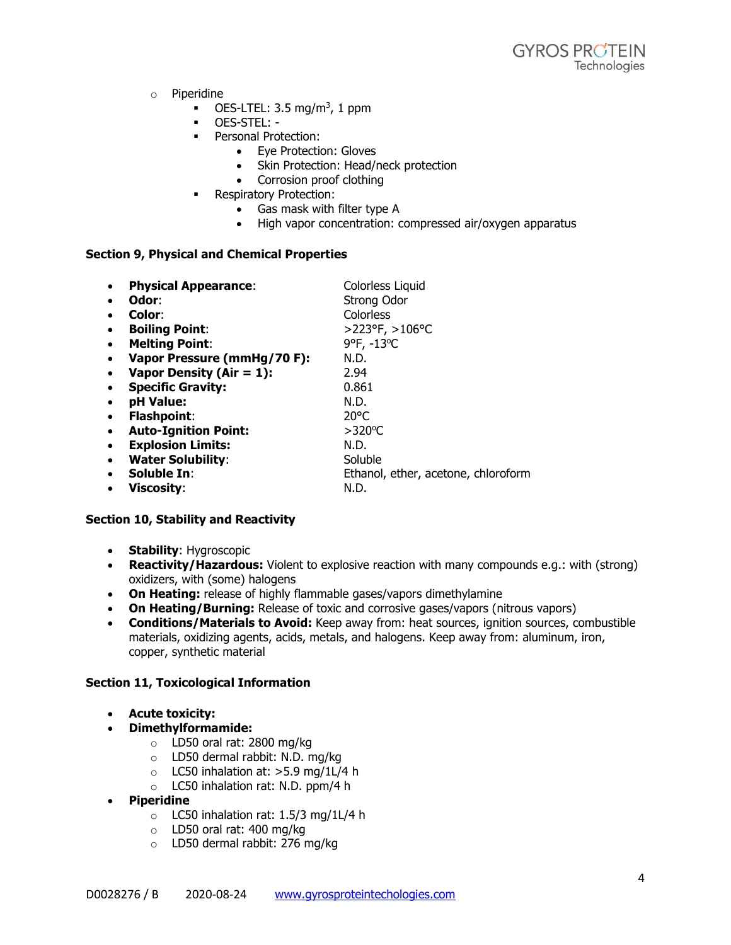- o Piperidine
	- $\blacksquare$  OES-LTEL: 3.5 mg/m<sup>3</sup>, 1 ppm
	- OES-STEL: -
	- **•** Personal Protection:
		- Eye Protection: Gloves
		- Skin Protection: Head/neck protection
		- Corrosion proof clothing
	- **•** Respiratory Protection:
		- Gas mask with filter type A
		- High vapor concentration: compressed air/oxygen apparatus

#### **Section 9, Physical and Chemical Properties**

| $\bullet$ | <b>Physical Appearance:</b> | Colorless Liquid                    |
|-----------|-----------------------------|-------------------------------------|
| $\bullet$ | Odor:                       | <b>Strong Odor</b>                  |
| $\bullet$ | Color:                      | <b>Colorless</b>                    |
| $\bullet$ | <b>Boiling Point:</b>       | >223°F, >106°C                      |
| $\bullet$ | <b>Melting Point:</b>       | 9°F, -13°C                          |
| $\bullet$ | Vapor Pressure (mmHg/70 F): | N.D.                                |
| $\bullet$ | Vapor Density (Air = $1$ ): | 2.94                                |
| $\bullet$ | <b>Specific Gravity:</b>    | 0.861                               |
| $\bullet$ | pH Value:                   | N.D.                                |
| $\bullet$ | <b>Flashpoint:</b>          | $20^{\circ}$ C                      |
| $\bullet$ | <b>Auto-Ignition Point:</b> | $>320^{\circ}$ C                    |
| $\bullet$ | <b>Explosion Limits:</b>    | N.D.                                |
| $\bullet$ | <b>Water Solubility:</b>    | Soluble                             |
| $\bullet$ | Soluble In:                 | Ethanol, ether, acetone, chloroform |
| $\bullet$ | Viscositv:                  | N.D.                                |

# **Section 10, Stability and Reactivity**

- **Stability**: Hygroscopic
- **Reactivity/Hazardous:** Violent to explosive reaction with many compounds e.g.: with (strong) oxidizers, with (some) halogens
- **On Heating:** release of highly flammable gases/vapors dimethylamine
- **On Heating/Burning:** Release of toxic and corrosive gases/vapors (nitrous vapors)
- **Conditions/Materials to Avoid:** Keep away from: heat sources, ignition sources, combustible materials, oxidizing agents, acids, metals, and halogens. Keep away from: aluminum, iron, copper, synthetic material

# **Section 11, Toxicological Information**

- **Acute toxicity:**
- **Dimethylformamide:**
	- o LD50 oral rat: 2800 mg/kg
	- o LD50 dermal rabbit: N.D. mg/kg
	- $\circ$  LC50 inhalation at: >5.9 mg/1L/4 h
	- o LC50 inhalation rat: N.D. ppm/4 h
- **Piperidine**
	- o LC50 inhalation rat: 1.5/3 mg/1L/4 h
	- o LD50 oral rat: 400 mg/kg
	- o LD50 dermal rabbit: 276 mg/kg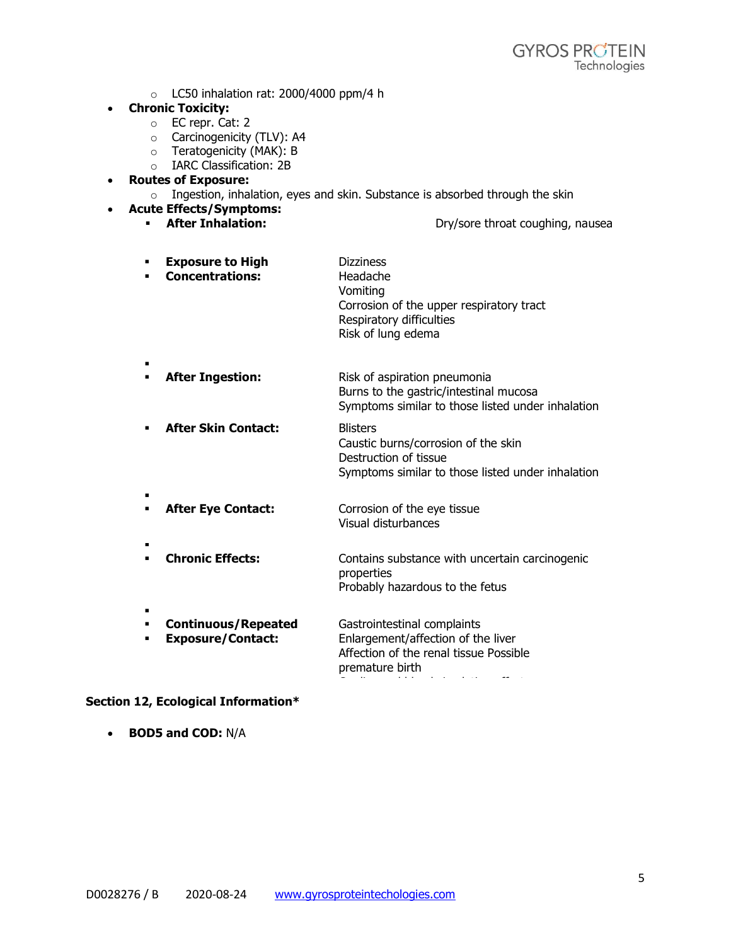$\circ$  LC50 inhalation rat: 2000/4000 ppm/4 h

#### • **Chronic Toxicity:**

- o EC repr. Cat: 2
- o Carcinogenicity (TLV): A4
- o Teratogenicity (MAK): B
- o IARC Classification: 2B

# • **Routes of Exposure:**

 $\circ$  Ingestion, inhalation, eyes and skin. Substance is absorbed through the skin

# • **Acute Effects/Symptoms:**

**EXECT Inhalation: After Inhalation: Dry/sore throat coughing, nausea** 

- **Exposure to High** ▪ **Concentrations: Dizziness** Headache Vomiting Corrosion of the upper respiratory tract Respiratory difficulties Risk of lung edema
- **After Ingestion:** Risk of aspiration pneumonia Burns to the gastric/intestinal mucosa Symptoms similar to those listed under inhalation
- **After Skin Contact:** Blisters Caustic burns/corrosion of the skin Destruction of tissue Symptoms similar to those listed under inhalation
- **After Eye Contact:** Corrosion of the eye tissue Visual disturbances
- **Chronic Effects:** Contains substance with uncertain carcinogenic properties Probably hazardous to the fetus

premature birth

- ▪ **Continuous/Repeated** Gastrointestinal complaints
- **Exposure/Contact:** Enlargement/affection of the liver Affection of the renal tissue Possible

# **Section 12, Ecological Information\***

• **BOD5 and COD:** N/A